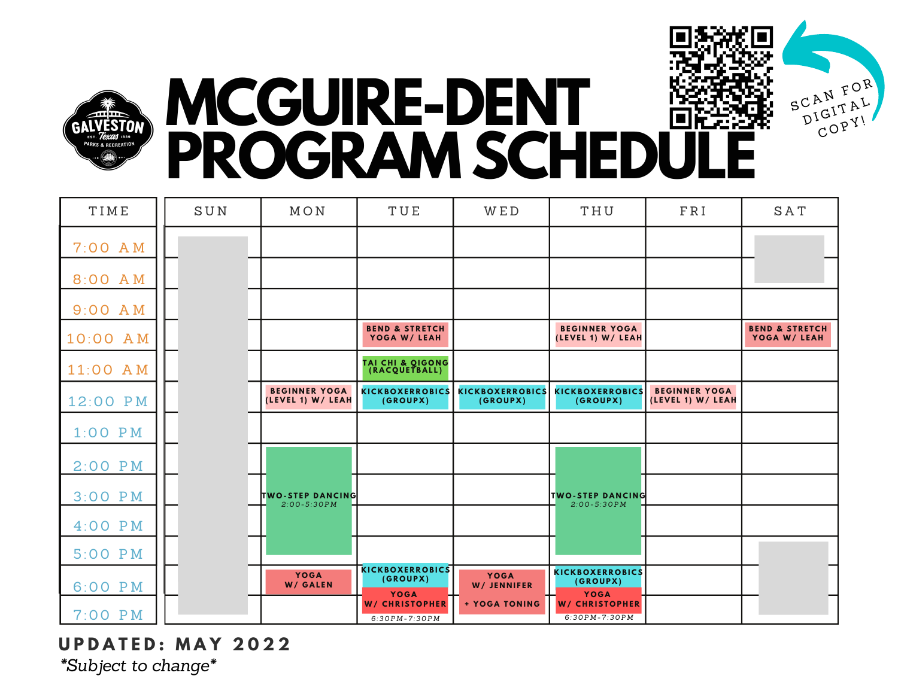



## **MCGUIRE-DENT PROGRAM SCHEDULE**

| TIME      | SUN | MON                                         | TUE                                               | <b>WED</b>                         | THU                                               | FRI                                       | <b>SAT</b>                                |
|-----------|-----|---------------------------------------------|---------------------------------------------------|------------------------------------|---------------------------------------------------|-------------------------------------------|-------------------------------------------|
| 7:00 AM   |     |                                             |                                                   |                                    |                                                   |                                           |                                           |
| 8:00 AM   |     |                                             |                                                   |                                    |                                                   |                                           |                                           |
| 9:00 A M  |     |                                             |                                                   |                                    |                                                   |                                           |                                           |
| 10:00 AM  |     |                                             | <b>BEND &amp; STRETCH</b><br>YOGA W/ LEAH         |                                    | <b>BEGINNER YOGA</b><br>(LEVEL 1) W/ LEAH         |                                           | <b>BEND &amp; STRETCH</b><br>YOGA W/ LEAH |
| 11:00 AM  |     |                                             | TAI CHI & QIGONG<br>(RACQUETBALL)                 |                                    |                                                   |                                           |                                           |
| 12:00 PM  |     | <b>BEGINNER YOGA</b><br>(LEVEL 1) W/ LEAH   | <b>KICKBOXERROBICS</b><br>(GROUPX)                | <b>KICKBOXERROBICS</b><br>(GROUPX) | <b>KICKBOXERROBICS</b><br>(GROUPX)                | <b>BEGINNER YOGA</b><br>(LEVEL 1) W/ LEAH |                                           |
| $1:00$ PM |     |                                             |                                                   |                                    |                                                   |                                           |                                           |
| $2:00$ PM |     |                                             |                                                   |                                    |                                                   |                                           |                                           |
| $3:00$ PM |     | <b>TWO-STEP DANCING</b><br>$2:00 - 5:30 PM$ |                                                   |                                    | <b>TWO-STEP DANCING</b><br>$2:00 - 5:30 PM$       |                                           |                                           |
| $4:00$ PM |     |                                             |                                                   |                                    |                                                   |                                           |                                           |
| 5:00 PM   |     |                                             |                                                   |                                    |                                                   |                                           |                                           |
| 6:00 PM   |     | <b>YOGA</b><br>W/ GALEN                     | <b>KICKBOXERROBICS</b><br>(GROUPX)<br><b>YOGA</b> | <b>YOGA</b><br>W/ JENNIFER         | <b>KICKBOXERROBICS</b><br>(GROUPX)<br><b>YOGA</b> |                                           |                                           |
| $7:00$ PM |     |                                             | <b>W/ CHRISTOPHER</b><br>$6:30PM - 7:30PM$        | + YOGA TONING                      | <b>W/ CHRISTOPHER</b><br>$6:30PM - 7:30PM$        |                                           |                                           |

**U P D A T E D : M A Y 2 0 2 2** *\*Subject to change\**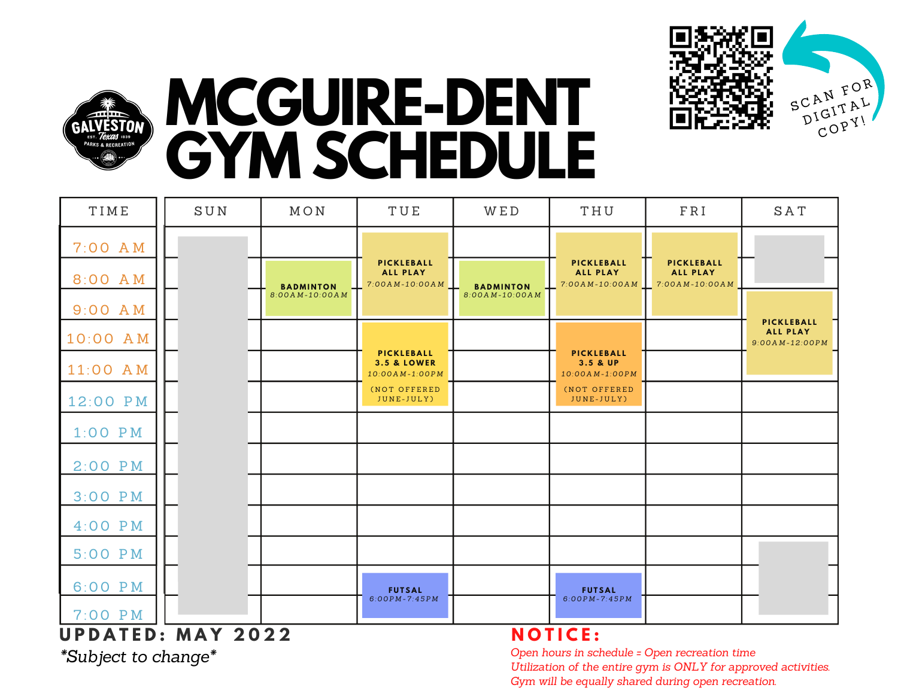



## **MCGUIRE-DENT GYM SCHEDULE**

| TIME            | SUN             | MON              | TUE                                                    | WED              | THU                                               | FRI                                             | <b>SAT</b>                                        |
|-----------------|-----------------|------------------|--------------------------------------------------------|------------------|---------------------------------------------------|-------------------------------------------------|---------------------------------------------------|
| 7:00 AM         |                 |                  |                                                        |                  |                                                   |                                                 |                                                   |
| 8:00 AM         |                 | <b>BADMINTON</b> | PICKLEBALL<br><b>ALL PLAY</b><br>$7:00AM-10:00AM$      | <b>BADMINTON</b> | PICKLEBALL<br><b>ALL PLAY</b><br>$7:00AM-10:00AM$ | PICKLEBALL<br><b>ALL PLAY</b><br>7:00AM-10:00AM |                                                   |
| 9:00 A M        |                 | 8:00AM-10:00AM   |                                                        | 8:00AM-10:00AM   |                                                   |                                                 |                                                   |
| 10:00 AM        |                 |                  |                                                        |                  |                                                   |                                                 | PICKLEBALL<br><b>ALL PLAY</b><br>$9:00AM-12:00PM$ |
| 11:00 AM        |                 |                  | PICKLEBALL<br><b>3.5 &amp; LOWER</b><br>10:00AM-1:00PM |                  | PICKLEBALL<br>3.5 & UP<br>10:00AM-1:00PM          |                                                 |                                                   |
| 12:00 PM        |                 |                  | (NOT OFFERED<br>JUNE-JULY)                             |                  | (NOT OFFERED<br>JUNE-JULY)                        |                                                 |                                                   |
| $1:00$ PM       |                 |                  |                                                        |                  |                                                   |                                                 |                                                   |
| $2:00$ PM       |                 |                  |                                                        |                  |                                                   |                                                 |                                                   |
| 3:00 PM         |                 |                  |                                                        |                  |                                                   |                                                 |                                                   |
| $4:00$ PM       |                 |                  |                                                        |                  |                                                   |                                                 |                                                   |
| 5:00 PM         |                 |                  |                                                        |                  |                                                   |                                                 |                                                   |
| 6:00 PM         |                 |                  | <b>FUTSAL</b>                                          |                  | <b>FUTSAL</b>                                     |                                                 |                                                   |
| 7:00 PM         |                 |                  | $6:00PM - 7:45PM$                                      |                  | $6:00PM - 7:45PM$                                 |                                                 |                                                   |
| <b>UPDATED:</b> | <b>MAY 2022</b> |                  |                                                        |                  | <b>NOTICE:</b>                                    |                                                 |                                                   |

*\*Subject to change\**

## **N O T I C E :**

*Open hours in schedule = Open recreation time Utilization of the entire gym is ONLY for approved activities. Gym will be equally shared during open recreation.*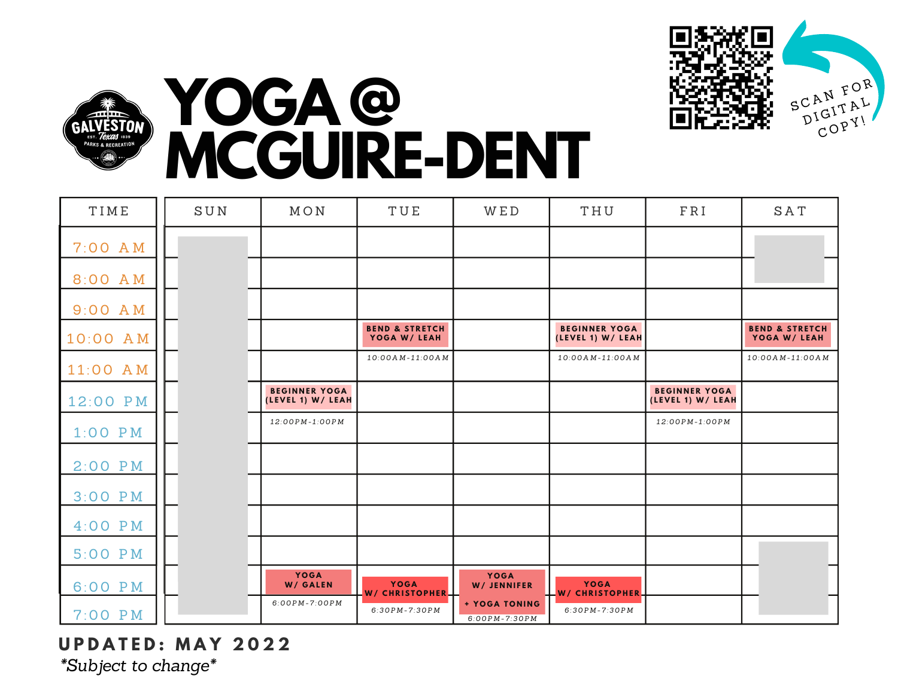



## **YOGA @ MCGUIRE-DENT**

| TIME      | SUN | MON                                       | TUE                                       | WED                                | THU                                       | FRI                                       | SAT                                       |
|-----------|-----|-------------------------------------------|-------------------------------------------|------------------------------------|-------------------------------------------|-------------------------------------------|-------------------------------------------|
| $7:00$ AM |     |                                           |                                           |                                    |                                           |                                           |                                           |
| 8:00 AM   |     |                                           |                                           |                                    |                                           |                                           |                                           |
| $9:00$ AM |     |                                           |                                           |                                    |                                           |                                           |                                           |
| 10:00 AM  |     |                                           | <b>BEND &amp; STRETCH</b><br>YOGA W/ LEAH |                                    | <b>BEGINNER YOGA</b><br>(LEVEL 1) W/ LEAH |                                           | <b>BEND &amp; STRETCH</b><br>YOGA W/ LEAH |
| 11:00 AM  |     |                                           | $10:00AM-11:00AM$                         |                                    | $10:00AM-11:00AM$                         |                                           | $10:00AM-11:00AM$                         |
| 12:00 PM  |     | <b>BEGINNER YOGA</b><br>(LEVEL 1) W/ LEAH |                                           |                                    |                                           | <b>BEGINNER YOGA</b><br>(LEVEL 1) W/ LEAH |                                           |
| $1:00$ PM |     | 12:00PM-1:00PM                            |                                           |                                    |                                           | 12:00PM-1:00PM                            |                                           |
| $2:00$ PM |     |                                           |                                           |                                    |                                           |                                           |                                           |
| $3:00$ PM |     |                                           |                                           |                                    |                                           |                                           |                                           |
| $4:00$ PM |     |                                           |                                           |                                    |                                           |                                           |                                           |
| 5:00 PM   |     |                                           |                                           |                                    |                                           |                                           |                                           |
| 6:00 PM   |     | <b>YOGA</b><br>W/ GALEN                   | <b>YOGA</b><br>W/ CHRISTOPHER-            | <b>YOGA</b><br>W/ JENNIFER         | <b>YOGA</b><br><b>W/ CHRISTOPHER</b>      |                                           |                                           |
| $7:00$ PM |     | $6:00PM - 7:00PM$                         | $6:30PM - 7:30PM$                         | + YOGA TONING<br>$6:00PM - 7:30PM$ | $6:30PM - 7:30PM$                         |                                           |                                           |

**U P D A T E D : M A Y 2 0 2 2** *\*Subject to change\**